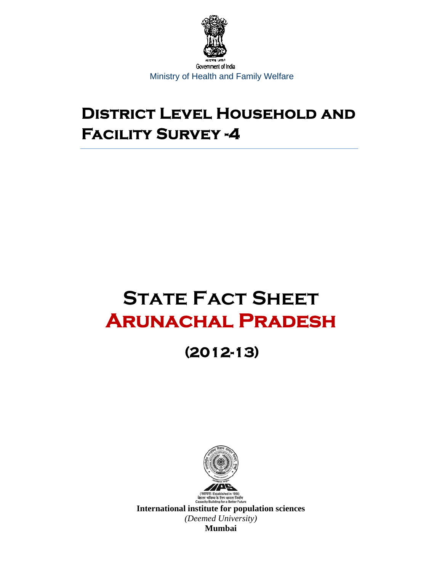

# **District Level Household and Facility Survey -4**

# **STATE FACT SHEET Arunachal Pradesh**

# **(2012-13)**



रविष्य के लिए क्षमता निर्माण<br>Building for a Better Future **International institute for population sciences**  *(Deemed University)* **Mumbai**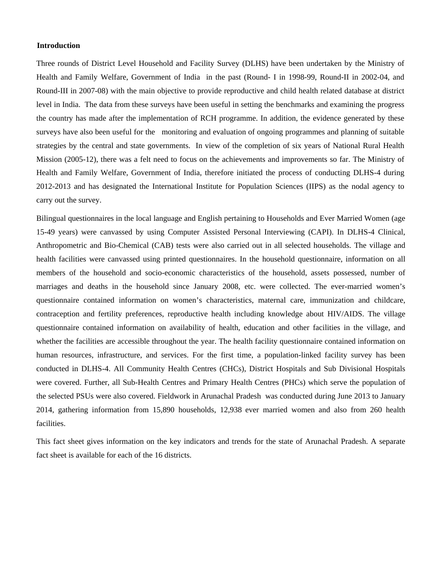#### **Introduction**

Three rounds of District Level Household and Facility Survey (DLHS) have been undertaken by the Ministry of Health and Family Welfare, Government of India in the past (Round- I in 1998-99, Round-II in 2002-04, and Round-III in 2007-08) with the main objective to provide reproductive and child health related database at district level in India. The data from these surveys have been useful in setting the benchmarks and examining the progress the country has made after the implementation of RCH programme. In addition, the evidence generated by these surveys have also been useful for the monitoring and evaluation of ongoing programmes and planning of suitable strategies by the central and state governments. In view of the completion of six years of National Rural Health Mission (2005-12), there was a felt need to focus on the achievements and improvements so far. The Ministry of Health and Family Welfare, Government of India, therefore initiated the process of conducting DLHS-4 during 2012-2013 and has designated the International Institute for Population Sciences (IIPS) as the nodal agency to carry out the survey.

Bilingual questionnaires in the local language and English pertaining to Households and Ever Married Women (age 15-49 years) were canvassed by using Computer Assisted Personal Interviewing (CAPI). In DLHS-4 Clinical, Anthropometric and Bio-Chemical (CAB) tests were also carried out in all selected households. The village and health facilities were canvassed using printed questionnaires. In the household questionnaire, information on all members of the household and socio-economic characteristics of the household, assets possessed, number of marriages and deaths in the household since January 2008, etc. were collected. The ever-married women's questionnaire contained information on women's characteristics, maternal care, immunization and childcare, contraception and fertility preferences, reproductive health including knowledge about HIV/AIDS. The village questionnaire contained information on availability of health, education and other facilities in the village, and whether the facilities are accessible throughout the year. The health facility questionnaire contained information on human resources, infrastructure, and services. For the first time, a population-linked facility survey has been conducted in DLHS-4. All Community Health Centres (CHCs), District Hospitals and Sub Divisional Hospitals were covered. Further, all Sub-Health Centres and Primary Health Centres (PHCs) which serve the population of the selected PSUs were also covered. Fieldwork in Arunachal Pradesh was conducted during June 2013 to January 2014, gathering information from 15,890 households, 12,938 ever married women and also from 260 health facilities.

This fact sheet gives information on the key indicators and trends for the state of Arunachal Pradesh. A separate fact sheet is available for each of the 16 districts.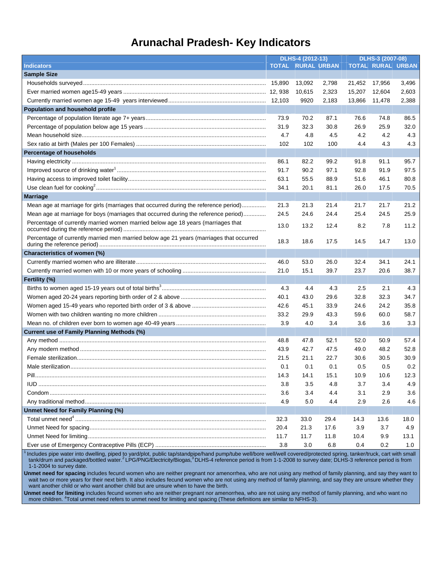### **Arunachal Pradesh- Key Indicators**

|                                                                                         | DLHS-4 (2012-13) |                    |       | DLHS-3 (2007-08) |                          |       |
|-----------------------------------------------------------------------------------------|------------------|--------------------|-------|------------------|--------------------------|-------|
| <b>Indicators</b>                                                                       | <b>TOTAL</b>     | <b>RURAL URBAN</b> |       |                  | <b>TOTAL RURAL URBAN</b> |       |
| <b>Sample Size</b>                                                                      |                  |                    |       |                  |                          |       |
|                                                                                         |                  | 13,092             | 2,798 | 21,452           | 17,956                   | 3,496 |
|                                                                                         |                  | 10,615             | 2,323 | 15,207           | 12,604                   | 2,603 |
|                                                                                         |                  | 9920               | 2,183 | 13,866           | 11,478                   | 2,388 |
| Population and household profile                                                        |                  |                    |       |                  |                          |       |
|                                                                                         | 73.9             | 70.2               | 87.1  | 76.6             | 74.8                     | 86.5  |
|                                                                                         | 31.9             | 32.3               | 30.8  | 26.9             | 25.9                     | 32.0  |
|                                                                                         | 4.7              | 4.8                | 4.5   | 4.2              | 4.2                      | 4.3   |
|                                                                                         | 102              | 102                | 100   | 4.4              | 4.3                      | 4.3   |
| <b>Percentage of households</b>                                                         |                  |                    |       |                  |                          |       |
|                                                                                         | 86.1             | 82.2               | 99.2  | 91.8             | 91.1                     | 95.7  |
|                                                                                         | 91.7             | 90.2               | 97.1  | 92.8             | 91.9                     | 97.5  |
|                                                                                         | 63.1             | 55.5               | 88.9  | 51.6             | 46.1                     | 80.8  |
|                                                                                         | 34.1             | 20.1               | 81.1  | 26.0             | 17.5                     | 70.5  |
| <b>Marriage</b>                                                                         |                  |                    |       |                  |                          |       |
| Mean age at marriage for girls (marriages that occurred during the reference period)    | 21.3             | 21.3               | 21.4  | 21.7             | 21.7                     | 21.2  |
| Mean age at marriage for boys (marriages that occurred during the reference period)     | 24.5             | 24.6               | 24.4  | 25.4             | 24.5                     | 25.9  |
| Percentage of currently married women married below age 18 years (marriages that        | 13.0             | 13.2               | 12.4  | 8.2              | 7.8                      | 11.2  |
| Percentage of currently married men married below age 21 years (marriages that occurred | 18.3             | 18.6               | 17.5  | 14.5             | 14.7                     | 13.0  |
| Characteristics of women (%)                                                            |                  |                    |       |                  |                          |       |
|                                                                                         | 46.0             | 53.0               | 26.0  | 32.4             | 34.1                     | 24.1  |
|                                                                                         | 21.0             | 15.1               | 39.7  | 23.7             | 20.6                     | 38.7  |
| Fertility (%)                                                                           |                  |                    |       |                  |                          |       |
|                                                                                         | 4.3              | 4.4                | 4.3   | 2.5              | 2.1                      | 4.3   |
|                                                                                         | 40.1             | 43.0               | 29.6  | 32.8             | 32.3                     | 34.7  |
|                                                                                         | 42.6             | 45.1               | 33.9  | 24.6             | 24.2                     | 35.8  |
|                                                                                         | 33.2             | 29.9               | 43.3  | 59.6             | 60.0                     | 58.7  |
|                                                                                         | 3.9              | 4.0                | 3.4   | 3.6              | 3.6                      | 3.3   |
| Current use of Family Planning Methods (%)                                              |                  |                    |       |                  |                          |       |
|                                                                                         | 48.8             | 47.8               | 52.1  | 52.0             | 50.9                     | 57.4  |
|                                                                                         | 43.9             | 42.7               | 47.5  | 49.0             | 48.2                     | 52.8  |
|                                                                                         | 21.5             | 21.1               | 22.7  | 30.6             | 30.5                     | 30.9  |
|                                                                                         | 0.1              | 0.1                | 0.1   | 0.5              | 0.5                      | 0.2   |
|                                                                                         | 14.3             | 14.1               | 15.1  | 10.9             | 10.6                     | 12.3  |
|                                                                                         | 3.8              | 3.5                | 4.8   | 3.7              | 3.4                      | 4.9   |
|                                                                                         | 3.6              | 3.4                | 4.4   | 3.1              | 2.9                      | 3.6   |
|                                                                                         | 4.9              | 5.0                | 4.4   | 2.9              | 2.6                      | 4.6   |
| Unmet Need for Family Planning (%)                                                      |                  |                    |       |                  |                          |       |
|                                                                                         | 32.3             | 33.0               | 29.4  | 14.3             | 13.6                     | 18.0  |
|                                                                                         | 20.4             | 21.3               | 17.6  | 3.9              | 3.7                      | 4.9   |
|                                                                                         | 11.7             | 11.7               | 11.8  | 10.4             | 9.9                      | 13.1  |
|                                                                                         | 3.8              | 3.0                | 6.8   | 0.4              | 0.2                      | 1.0   |

<sup>1</sup> Includes pipe water into dwelling, piped to yard/plot, public tap/standpipe/hand pump/tube well/bore well/well covered/protected spring, tanker/truck, cart with small tank/drum and packaged/bottled water.<sup>2</sup> LPG/PNG/Electricity/Biogas,<sup>3</sup> DLHS-4 reference period is from 1-1-2008 to survey date; DLHS-3 reference period is from 1-1-2004 to survey date.

**Unmet need for spacing** includes fecund women who are neither pregnant nor amenorrhea, who are not using any method of family planning, and say they want to wait two or more years for their next birth. It also includes fecund women who are not using any method of family planning, and say they are unsure whether they want another child or who want another child but are unsure when to have the birth.

**Unmet need for limiting** includes fecund women who are neither pregnant nor amenorrhea, who are not using any method of family planning, and who want no more children. <sup>4</sup>Total unmet need refers to unmet need for limiting and spacing (These definitions are similar to NFHS-3).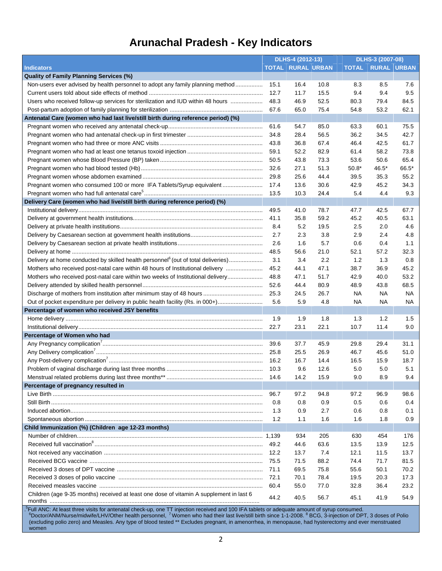### **Arunachal Pradesh - Key Indicators**

|                                                                                               | DLHS-4 (2012-13) |                          | DLHS-3 (2007-08) |           |                          |       |
|-----------------------------------------------------------------------------------------------|------------------|--------------------------|------------------|-----------|--------------------------|-------|
| <b>Indicators</b>                                                                             |                  | <b>TOTAL RURAL URBAN</b> |                  |           | <b>TOTAL RURAL URBAN</b> |       |
| <b>Quality of Family Planning Services (%)</b>                                                |                  |                          |                  |           |                          |       |
| Non-users ever advised by health personnel to adopt any family planning method                | 15.1             | 16.4                     | 10.8             | 8.3       | 8.5                      | 7.6   |
|                                                                                               | 12.7             | 11.7                     | 15.5             | 9.4       | 9.4                      | 9.5   |
| Users who received follow-up services for sterilization and IUD within 48 hours               | 48.3             | 46.9                     | 52.5             | 80.3      | 79.4                     | 84.5  |
|                                                                                               | 67.6             | 65.0                     | 75.4             | 54.8      | 53.2                     | 62.1  |
| Antenatal Care (women who had last live/still birth during reference period) (%)              |                  |                          |                  |           |                          |       |
|                                                                                               | 61.6             | 54.7                     | 85.0             | 63.3      | 60.1                     | 75.5  |
|                                                                                               | 34.8             | 28.4                     | 56.5             | 36.2      | 34.5                     | 42.7  |
|                                                                                               | 43.8             | 36.8                     | 67.4             | 46.4      | 42.5                     | 61.7  |
|                                                                                               | 59.1             | 52.2                     | 82.9             | 61.4      | 58.2                     | 73.8  |
|                                                                                               | 50.5             | 43.8                     | 73.3             | 53.6      | 50.6                     | 65.4  |
|                                                                                               | 32.6             | 27.1                     | 51.3             | $50.8*$   | 46.5*                    | 66.5* |
|                                                                                               | 29.8             | 25.6                     | 44.4             | 39.5      | 35.3                     | 55.2  |
| Pregnant women who consumed 100 or more IFA Tablets/Syrup equivalent                          | 17.4             | 13.6                     | 30.6             | 42.9      | 45.2                     | 34.3  |
|                                                                                               | 13.5             | 10.3                     | 24.4             | 5.4       | 4.4                      | 9.3   |
| Delivery Care (women who had live/still birth during reference period) (%)                    |                  |                          |                  |           |                          |       |
|                                                                                               | 49.5             | 41.0                     | 78.7             | 47.7      | 42.5                     | 67.7  |
|                                                                                               | 41.1             | 35.8                     | 59.2             | 45.2      | 40.5                     | 63.1  |
|                                                                                               | 8.4              | 5.2                      | 19.5             | 2.5       | 2.0                      | 4.6   |
|                                                                                               | 2.7              | 2.3                      | 3.8              | 2.9       | 2.4                      | 4.8   |
|                                                                                               | 2.6              |                          |                  |           |                          |       |
|                                                                                               |                  | 1.6                      | 5.7              | 0.6       | 0.4                      | 1.1   |
|                                                                                               | 48.5             | 56.6                     | 21.0             | 52.1      | 57.2                     | 32.3  |
| Delivery at home conducted by skilled health personnel <sup>6</sup> (out of total deliveries) | 3.1              | 3.4                      | 2.2              | 1.2       | 1.3                      | 0.8   |
| Mothers who received post-natal care within 48 hours of Institutional delivery                | 45.2             | 44.1                     | 47.1             | 38.7      | 36.9                     | 45.2  |
| Mothers who received post-natal care within two weeks of Institutional delivery               | 48.8             | 47.1                     | 51.7             | 42.9      | 40.0                     | 53.2  |
|                                                                                               | 52.6             | 44.4                     | 80.9             | 48.9      | 43.8                     | 68.5  |
|                                                                                               | 25.3             | 24.5                     | 26.7             | <b>NA</b> | NА                       | NА    |
| Out of pocket expenditure per delivery in public health facility (Rs. in 000+)                | 5.6              | 5.9                      | 4.8              | <b>NA</b> | NА                       | NА    |
| Percentage of women who received JSY benefits                                                 |                  |                          |                  |           |                          |       |
|                                                                                               | 1.9              | 1.9                      | 1.8              | 1.3       | 1.2                      | 1.5   |
|                                                                                               | 22.7             | 23.1                     | 22.1             | 10.7      | 11.4                     | 9.0   |
| Percentage of Women who had                                                                   |                  |                          |                  |           |                          |       |
|                                                                                               | 39.6             | 37.7                     | 45.9             | 29.8      | 29.4                     | 31.1  |
|                                                                                               |                  | 25.5                     | 26.9             | 46.7      | 45.6                     | 51.0  |
|                                                                                               |                  | 16.7                     | 14.4             | 16.5      | 15.9                     | 18.7  |
|                                                                                               |                  | 9.6                      | 12.6             | 5.0       | 5.0                      | 5.1   |
|                                                                                               | 14.6             | 14.2                     | 15.9             | 9.0       | 8.9                      | 9.4   |
| Percentage of pregnancy resulted in                                                           |                  |                          |                  |           |                          |       |
|                                                                                               | 96.7             | 97.2                     | 94.8             | 97.2      | 96.9                     | 98.6  |
|                                                                                               | 0.8              | 0.8                      | 0.9              | 0.5       | 0.6                      | 0.4   |
|                                                                                               | 1.3              | 0.9                      | 2.7              | 0.6       | 0.8                      | 0.1   |
|                                                                                               | 1.2              | 1.1                      | 1.6              | 1.6       | 1.8                      | 0.9   |
| Child Immunization (%) (Children age 12-23 months)                                            |                  |                          |                  |           |                          |       |
|                                                                                               |                  | 934                      | 205              | 630       | 454                      | 176   |
|                                                                                               | 49.2             | 44.6                     | 63.6             | 13.5      | 13.9                     | 12.5  |
|                                                                                               | 12.2             | 13.7                     | 7.4              | 12.1      | 11.5                     | 13.7  |
|                                                                                               | 75.5             | 71.5                     | 88.2             | 74.4      | 71.7                     | 81.5  |
|                                                                                               | 71.1             | 69.5                     | 75.8             | 55.6      | 50.1                     | 70.2  |
|                                                                                               | 72.1             | 70.1                     | 78.4             | 19.5      | 20.3                     | 17.3  |
|                                                                                               | 60.4             | 55.0                     | 77.0             | 32.8      | 36.4                     | 23.2  |
| Children (age 9-35 months) received at least one dose of vitamin A supplement in last 6       | 44.2             | 40.5                     | 56.7             | 45.1      | 41.9                     | 54.9  |
|                                                                                               |                  |                          |                  |           |                          |       |

.<sup>5</sup>Full ANC: At least three visits for antenatal check-up, one TT injection received and 100 IFA tablets or adequate amount of syrup consumed.<br><sup>6</sup>Doctor/ANM/Nurse/midwife/LHV/Other health personnel, <sup>7</sup> Women who had thei (excluding polio zero) and Measles. Any type of blood tested \*\* Excludes pregnant, in amenorrhea, in menopause, had hysterectomy and ever menstruated women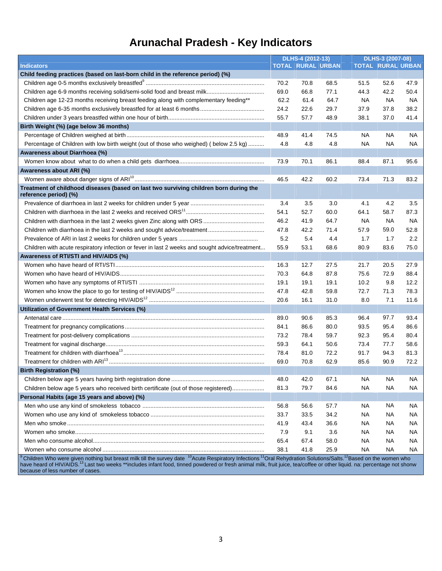### **Arunachal Pradesh - Key Indicators**

|                                                                                                                | DLHS-4 (2012-13) |                          |      |           | DLHS-3 (2007-08)         |      |  |
|----------------------------------------------------------------------------------------------------------------|------------------|--------------------------|------|-----------|--------------------------|------|--|
| <b>Indicators</b>                                                                                              |                  | <b>TOTAL RURAL URBAN</b> |      |           | <b>TOTAL RURAL URBAN</b> |      |  |
| Child feeding practices (based on last-born child in the reference period) (%)                                 |                  |                          |      |           |                          |      |  |
|                                                                                                                | 70.2             | 70.8                     | 68.5 | 51.5      | 52.6                     | 47.9 |  |
|                                                                                                                | 69.0             | 66.8                     | 77.1 | 44.3      | 42.2                     | 50.4 |  |
| Children age 12-23 months receiving breast feeding along with complementary feeding**                          | 62.2             | 61.4                     | 64.7 | <b>NA</b> | <b>NA</b>                | NA   |  |
|                                                                                                                | 24.2             | 22.6                     | 29.7 | 37.9      | 37.8                     | 38.2 |  |
|                                                                                                                | 55.7             | 57.7                     | 48.9 | 38.1      | 37.0                     | 41.4 |  |
| Birth Weight (%) (age below 36 months)                                                                         |                  |                          |      |           |                          |      |  |
|                                                                                                                | 48.9             | 41.4                     | 74.5 | NA        | NA.                      | NA.  |  |
| Percentage of Children with low birth weight (out of those who weighed) (below 2.5 kg)                         | 4.8              | 4.8                      | 4.8  | NA        | <b>NA</b>                | NA.  |  |
| Awareness about Diarrhoea (%)                                                                                  |                  |                          |      |           |                          |      |  |
|                                                                                                                | 73.9             | 70.1                     | 86.1 | 88.4      | 87.1                     | 95.6 |  |
| Awareness about ARI (%)                                                                                        |                  |                          |      |           |                          |      |  |
|                                                                                                                | 46.5             | 42.2                     | 60.2 | 73.4      | 71.3                     | 83.2 |  |
| Treatment of childhood diseases (based on last two surviving children born during the<br>reference period) (%) |                  |                          |      |           |                          |      |  |
|                                                                                                                | 3.4              | 3.5                      | 3.0  | 4.1       | 4.2                      | 3.5  |  |
|                                                                                                                | 54.1             | 52.7                     | 60.0 | 64.1      | 58.7                     | 87.3 |  |
|                                                                                                                | 46.2             | 41.9                     | 64.7 | <b>NA</b> | <b>NA</b>                | NA.  |  |
|                                                                                                                | 47.8             | 42.2                     | 71.4 | 57.9      | 59.0                     | 52.8 |  |
|                                                                                                                | 5.2              | 5.4                      | 4.4  | 1.7       | 1.7                      | 2.2  |  |
| Children with acute respiratory infection or fever in last 2 weeks and sought advice/treatment                 | 55.9             | 53.1                     | 68.6 | 80.9      | 83.6                     | 75.0 |  |
| Awareness of RTI/STI and HIV/AIDS (%)                                                                          |                  |                          |      |           |                          |      |  |
|                                                                                                                | 16.3             | 12.7                     | 27.5 | 21.7      | 20.5                     | 27.9 |  |
|                                                                                                                | 70.3             | 64.8                     | 87.8 | 75.6      | 72.9                     | 88.4 |  |
|                                                                                                                | 19.1             | 19.1                     | 19.1 | 10.2      | 9.8                      | 12.2 |  |
|                                                                                                                | 47.8             | 42.8                     | 59.8 | 72.7      | 71.3                     | 78.3 |  |
|                                                                                                                | 20.6             | 16.1                     | 31.0 | 8.0       | 7.1                      | 11.6 |  |
| Utilization of Government Health Services (%)                                                                  |                  |                          |      |           |                          |      |  |
|                                                                                                                | 89.0             | 90.6                     | 85.3 | 96.4      | 97.7                     | 93.4 |  |
|                                                                                                                | 84.1             | 86.6                     | 80.0 | 93.5      | 95.4                     | 86.6 |  |
|                                                                                                                | 73.2             | 78.4                     | 59.7 | 92.3      | 95.4                     | 80.4 |  |
|                                                                                                                | 59.3             | 64.1                     | 50.6 | 73.4      | 77.7                     | 58.6 |  |
|                                                                                                                | 78.4             | 81.0                     | 72.2 | 91.7      | 94.3                     | 81.3 |  |
|                                                                                                                | 69.0             | 70.8                     | 62.9 | 85.6      | 90.9                     | 72.2 |  |
| <b>Birth Registration (%)</b>                                                                                  |                  |                          |      |           |                          |      |  |
|                                                                                                                | 48.0             | 42.0                     | 67.1 | <b>NA</b> | <b>NA</b>                | NA.  |  |
| Children below age 5 years who received birth certificate (out of those registered)                            | 81.3             | 79.7                     | 84.6 | <b>NA</b> | <b>NA</b>                | NA   |  |
| Personal Habits (age 15 years and above) (%)                                                                   |                  |                          |      |           |                          |      |  |
|                                                                                                                | 56.8             | 56.6                     | 57.7 | NA.       | NA.                      | NA.  |  |
|                                                                                                                | 33.7             | 33.5                     | 34.2 | NA        | NA                       | NA.  |  |
|                                                                                                                | 41.9             | 43.4                     | 36.6 | NA        | NA.                      | NA.  |  |
|                                                                                                                | 7.9              | 9.1                      | 3.6  |           | NA                       |      |  |
|                                                                                                                | 65.4             | 67.4                     | 58.0 | NА        | <b>NA</b>                | NA.  |  |
|                                                                                                                |                  |                          |      | NА        |                          | NA   |  |
|                                                                                                                | 38.1             | 41.8                     | 25.9 | <b>NA</b> | <b>NA</b>                | NA.  |  |

<sup>9</sup> Children Who were given nothing but breast milk till the survey date <sup>10</sup>Acute Respiratory Infections <sup>11</sup>Oral Rehydration Solutions/Salts.<sup>12</sup>Based on the women who have heard of HIV/AIDS.<sup>13</sup> Last two weeks \*\*includes infant food, tinned powdered or fresh animal milk, fruit juice, tea/coffee or other liquid. na: percentage not shonw because of less number of cases.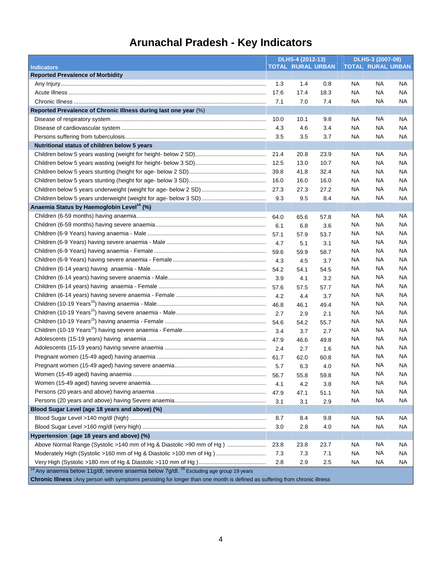## **Arunachal Pradesh - Key Indicators**

|                                                                                                                              | DLHS-4 (2012-13) |      | DLHS-3 (2007-08)         |                          |           |           |
|------------------------------------------------------------------------------------------------------------------------------|------------------|------|--------------------------|--------------------------|-----------|-----------|
| <b>Indicators</b>                                                                                                            |                  |      | <b>TOTAL RURAL URBAN</b> | <b>TOTAL RURAL URBAN</b> |           |           |
| <b>Reported Prevalence of Morbidity</b>                                                                                      |                  |      |                          |                          |           |           |
|                                                                                                                              | 1.3              | 1.4  | 0.8                      | <b>NA</b>                | <b>NA</b> | NA.       |
|                                                                                                                              | 17.6             | 17.4 | 18.3                     | <b>NA</b>                | <b>NA</b> | NA        |
|                                                                                                                              | 7.1              | 7.0  | 7.4                      | <b>NA</b>                | <b>NA</b> | NA.       |
| Reported Prevalence of Chronic Illness during last one year (%)                                                              |                  |      |                          |                          |           |           |
|                                                                                                                              | 10.0             | 10.1 | 9.8                      | <b>NA</b>                | <b>NA</b> | <b>NA</b> |
|                                                                                                                              | 4.3              | 4.6  | 3.4                      | <b>NA</b>                | <b>NA</b> | <b>NA</b> |
|                                                                                                                              | 3.5              | 3.5  | 3.7                      | NA                       | <b>NA</b> | NA        |
| Nutritional status of children below 5 years                                                                                 |                  |      |                          |                          |           |           |
|                                                                                                                              | 21.4             | 20.8 | 23.9                     | ΝA                       | NA.       | NA.       |
|                                                                                                                              |                  | 13.0 | 10.7                     | NA                       | NA.       | NA        |
|                                                                                                                              | 39.8             | 41.8 | 32.4                     | NA                       | NA.       | NA.       |
|                                                                                                                              | 16.0             | 16.0 | 16.0                     | NA.                      | NA.       | NA        |
|                                                                                                                              |                  | 27.3 | 27.2                     | NA                       | <b>NA</b> | NA        |
|                                                                                                                              | 9.3              | 9.5  | 8.4                      | <b>NA</b>                | <b>NA</b> | NA.       |
| Anaemia Status by Haemoglobin Level <sup>14</sup> (%)                                                                        |                  |      |                          |                          |           |           |
|                                                                                                                              | 64.0             | 65.6 | 57.8                     | NА                       | NA.       | <b>NA</b> |
|                                                                                                                              | 6.1              | 6.8  | 3.6                      | NА                       | NA.       | NA        |
|                                                                                                                              |                  | 57.9 | 53.7                     | <b>NA</b>                | NA.       | <b>NA</b> |
|                                                                                                                              | 4.7              | 5.1  | 3.1                      | <b>NA</b>                | NA.       | <b>NA</b> |
|                                                                                                                              |                  | 59.9 | 58.7                     | <b>NA</b>                | NA.       | <b>NA</b> |
|                                                                                                                              | 4.3              | 4.5  | 3.7                      | <b>NA</b>                | NA.       | <b>NA</b> |
|                                                                                                                              |                  | 54.1 | 54.5                     | NА                       | NA.       | NА        |
|                                                                                                                              | 3.9              | 4.1  | 3.2                      | NА                       | NA.       | NА        |
|                                                                                                                              |                  | 57.5 | 57.7                     | NА                       | NA.       | NА        |
|                                                                                                                              | 4.2              | 4.4  | 3.7                      | <b>NA</b>                | NA.       | NА        |
|                                                                                                                              |                  | 46.1 | 49.4                     | NA.                      | NA.       | NА        |
|                                                                                                                              | 2.7              | 2.9  | 2.1                      | <b>NA</b>                | NA.       | NА        |
|                                                                                                                              |                  | 54.2 | 55.7                     | NА                       | NA.       | NА        |
|                                                                                                                              | 3.4              | 3.7  | 2.7                      | NА                       | NA.       | NA.       |
|                                                                                                                              |                  | 46.6 | 49.8                     | NА                       | NA.       | NA.       |
|                                                                                                                              | 2.4              | 2.7  | 1.6                      | NА                       | NA.       | NА        |
|                                                                                                                              |                  | 62.0 | 60.8                     | NА                       | NA.       | NА        |
|                                                                                                                              | 5.7              | 6.3  | 4.0                      | <b>NA</b>                | <b>NA</b> | NA        |
|                                                                                                                              |                  |      |                          | NА                       | <b>NA</b> | NA        |
|                                                                                                                              |                  | 55.8 | 59.8                     | <b>NA</b>                | <b>NA</b> | <b>NA</b> |
|                                                                                                                              | 4.1              | 4.2  | 3.8                      | <b>NA</b>                | <b>NA</b> | NА        |
|                                                                                                                              | 47.9             | 47.1 | 51.1                     | <b>NA</b>                | <b>NA</b> | NA.       |
| Blood Sugar Level (age 18 years and above) (%)                                                                               | 3.1              | 3.1  | 2.9                      |                          |           |           |
|                                                                                                                              | 8.7              | 8.4  | 9.8                      | NA.                      | NA.       | NA.       |
|                                                                                                                              |                  |      |                          |                          |           |           |
|                                                                                                                              | 3.0              | 2.8  | 4.0                      | <b>NA</b>                | NA.       | NA.       |
| Hypertension (age 18 years and above) (%)                                                                                    |                  |      |                          |                          |           |           |
| Above Normal Range (Systolic >140 mm of Hg & Diastolic >90 mm of Hg )                                                        | 23.8             | 23.8 | 23.7                     | NА                       | NA.       | NA.       |
| Moderately High (Systolic >160 mm of Hg & Diastolic >100 mm of Hg)                                                           | 7.3              | 7.3  | 7.1                      | <b>NA</b>                | <b>NA</b> | NA.       |
| <sup>14</sup> Any anaemia below 11g/dl, severe anaemia below 7g/dl. <sup>15</sup> Excluding age group 19 years               | 2.8              | 2.9  | 2.5                      | NА                       | NA.       | NA        |
| Chronic Illness : Any person with symptoms persisting for longer than one month is defined as suffering from chronic illness |                  |      |                          |                          |           |           |
|                                                                                                                              |                  |      |                          |                          |           |           |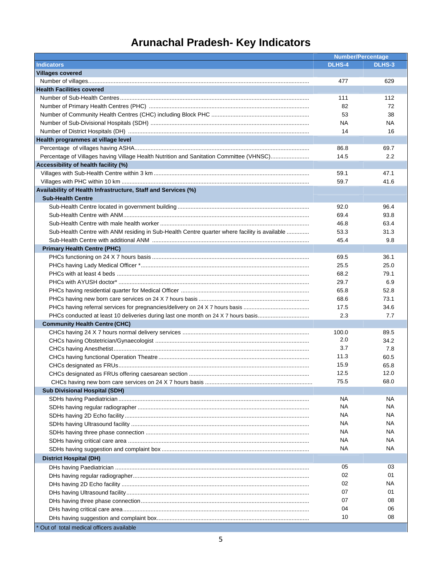# **Arunachal Pradesh- Key Indicators**

|                                                                                              | <b>Number/Percentage</b> |               |  |
|----------------------------------------------------------------------------------------------|--------------------------|---------------|--|
| <b>Indicators</b>                                                                            | <b>DLHS-4</b>            | <b>DLHS-3</b> |  |
| <b>Villages covered</b>                                                                      |                          |               |  |
|                                                                                              | 477                      | 629           |  |
| <b>Health Facilities covered</b>                                                             |                          |               |  |
|                                                                                              | 111                      | 112           |  |
|                                                                                              | 82                       | 72            |  |
|                                                                                              | 53                       | 38            |  |
|                                                                                              | NA                       | NA            |  |
|                                                                                              | 14                       | 16            |  |
| Health programmes at village level                                                           |                          |               |  |
|                                                                                              | 86.8                     | 69.7          |  |
| Percentage of Villages having Village Health Nutrition and Sanitation Committee (VHNSC)      | 14.5                     | 2.2           |  |
| Accessibility of health facility (%)                                                         |                          |               |  |
|                                                                                              | 59.1                     | 47.1          |  |
|                                                                                              | 59.7                     | 41.6          |  |
| Availability of Health Infrastructure, Staff and Services (%)                                |                          |               |  |
| <b>Sub-Health Centre</b>                                                                     |                          |               |  |
|                                                                                              | 92.0                     | 96.4          |  |
|                                                                                              | 69.4                     | 93.8          |  |
|                                                                                              | 46.8                     | 63.4          |  |
| Sub-Health Centre with ANM residing in Sub-Health Centre quarter where facility is available | 53.3                     | 31.3          |  |
|                                                                                              | 45.4                     | 9.8           |  |
| <b>Primary Health Centre (PHC)</b>                                                           |                          |               |  |
|                                                                                              | 69.5                     | 36.1          |  |
|                                                                                              | 25.5                     | 25.0          |  |
|                                                                                              | 68.2                     | 79.1          |  |
|                                                                                              | 29.7                     | 6.9           |  |
|                                                                                              | 65.8                     | 52.8          |  |
|                                                                                              | 68.6                     | 73.1          |  |
|                                                                                              | 17.5                     | 34.6          |  |
| PHCs conducted at least 10 deliveries during last one month on 24 X 7 hours basis            | 2.3                      | 7.7           |  |
| <b>Community Health Centre (CHC)</b>                                                         |                          |               |  |
|                                                                                              | 100.0                    | 89.5          |  |
|                                                                                              | 2.0                      | 34.2          |  |
|                                                                                              | 3.7                      | 7.8           |  |
|                                                                                              | 11.3                     | 60.5          |  |
|                                                                                              | 15.9                     | 65.8          |  |
|                                                                                              | 12.5                     | 12.0          |  |
|                                                                                              | 75.5                     | 68.0          |  |
| <b>Sub Divisional Hospital (SDH)</b>                                                         |                          |               |  |
|                                                                                              | NA                       | NА            |  |
|                                                                                              | NA.                      | ΝA            |  |
|                                                                                              | NA                       | NА            |  |
|                                                                                              | NА                       | NА            |  |
|                                                                                              | NА                       | ΝA            |  |
|                                                                                              | NА                       | ΝA            |  |
|                                                                                              | NА                       | NА            |  |
|                                                                                              |                          |               |  |
| <b>District Hospital (DH)</b>                                                                |                          | 03            |  |
|                                                                                              | 05<br>02                 | 01            |  |
|                                                                                              |                          |               |  |
|                                                                                              | 02                       | NА            |  |
|                                                                                              | 07                       | 01            |  |
|                                                                                              | 07                       | 08            |  |
|                                                                                              | 04                       | 06            |  |
|                                                                                              | 10                       | 08            |  |
| Out of total medical officers available                                                      |                          |               |  |